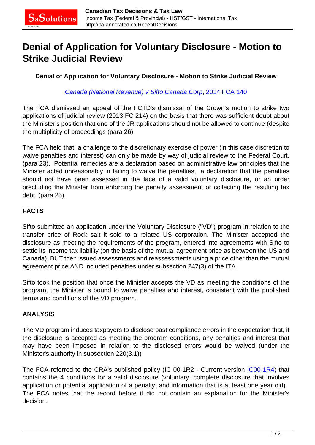## **Denial of Application for Voluntary Disclosure - Motion to Strike Judicial Review**

**Denial of Application for Voluntary Disclosure - Motion to Strike Judicial Review**

[Canada \(National Revenue\) v Sifto Canada Corp](http://canlii.ca/t/g7cd9), [2014 FCA 140](http://decisions.fca-caf.gc.ca/fca-caf/decisions/en/item/72571/index.do?r=AAAAAQAFc2lmdG8AAAAAAQ)

The FCA dismissed an appeal of the FCTD's dismissal of the Crown's motion to strike two applications of judicial review (2013 FC 214) on the basis that there was sufficient doubt about the Minister's position that one of the JR applications should not be allowed to continue (despite the multiplicity of proceedings (para 26).

The FCA held that a challenge to the discretionary exercise of power (in this case discretion to waive penalties and interest) can only be made by way of judicial review to the Federal Court. (para 23). Potential remedies are a declaration based on administrative law principles that the Minister acted unreasonably in failing to waive the penalties, a declaration that the penalties should not have been assessed in the face of a valid voluntary disclosure, or an order precluding the Minister from enforcing the penalty assessment or collecting the resulting tax debt (para 25).

## **FACTS**

Sifto submitted an application under the Voluntary Disclosure ("VD") program in relation to the transfer price of Rock salt it sold to a related US corporation. The Minister accepted the disclosure as meeting the requirements of the program, entered into agreements with Sifto to settle its income tax liability (on the basis of the mutual agreement price as between the US and Canada), BUT then issued assessments and reassessments using a price other than the mutual agreement price AND included penalties under subsection 247(3) of the ITA.

Sifto took the position that once the Minister accepts the VD as meeting the conditions of the program, the Minister is bound to waive penalties and interest, consistent with the published terms and conditions of the VD program.

## **ANALYSIS**

The VD program induces taxpayers to disclose past compliance errors in the expectation that, if the disclosure is accepted as meeting the program conditions, any penalties and interest that may have been imposed in relation to the disclosed errors would be waived (under the Minister's authority in subsection 220(3.1))

The FCA referred to the CRA's published policy (IC 00-1R2 - Current version  $[COO-1R4]$  that contains the 4 conditions for a valid disclosure (voluntary, complete disclosure that involves application or potential application of a penalty, and information that is at least one year old). The FCA notes that the record before it did not contain an explanation for the Minister's decision.